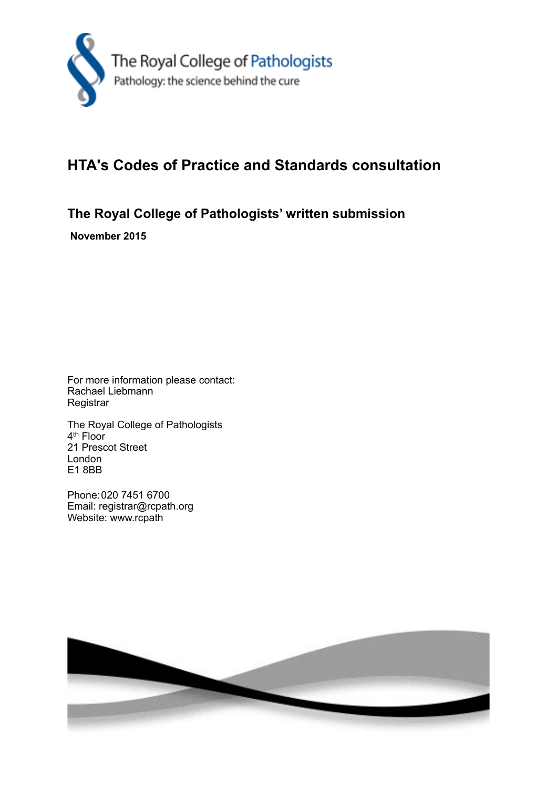

## **HTA's Codes of Practice and Standards consultation**

**The Royal College of Pathologists' written submission**

 **November 2015**

For more information please contact: Rachael Liebmann **Registrar** 

The Royal College of Pathologists 4<sup>th</sup> Floor 21 Prescot Street London E1 8BB

Phone: 020 7451 6700 Email: registrar@rcpath.org Website: www.rcpath

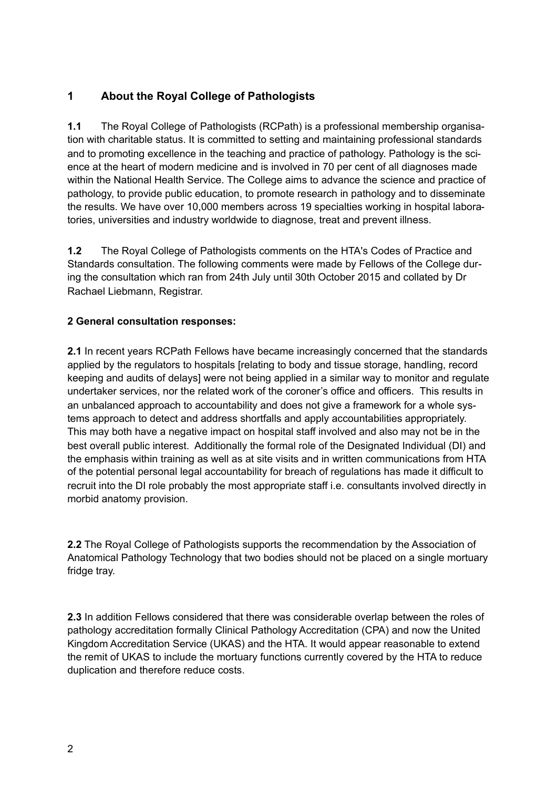## **1 About the Royal College of Pathologists**

**1.1** The Royal College of Pathologists (RCPath) is a professional membership organisation with charitable status. It is committed to setting and maintaining professional standards and to promoting excellence in the teaching and practice of pathology. Pathology is the science at the heart of modern medicine and is involved in 70 per cent of all diagnoses made within the National Health Service. The College aims to advance the science and practice of pathology, to provide public education, to promote research in pathology and to disseminate the results. We have over 10,000 members across 19 specialties working in hospital laboratories, universities and industry worldwide to diagnose, treat and prevent illness.

**1.2** The Royal College of Pathologists comments on the HTA's Codes of Practice and Standards consultation. The following comments were made by Fellows of the College during the consultation which ran from 24th July until 30th October 2015 and collated by Dr Rachael Liebmann, Registrar.

## **2 General consultation responses:**

**2.1** In recent years RCPath Fellows have became increasingly concerned that the standards applied by the regulators to hospitals [relating to body and tissue storage, handling, record keeping and audits of delays] were not being applied in a similar way to monitor and regulate undertaker services, nor the related work of the coroner's office and officers. This results in an unbalanced approach to accountability and does not give a framework for a whole systems approach to detect and address shortfalls and apply accountabilities appropriately. This may both have a negative impact on hospital staff involved and also may not be in the best overall public interest. Additionally the formal role of the Designated Individual (DI) and the emphasis within training as well as at site visits and in written communications from HTA of the potential personal legal accountability for breach of regulations has made it difficult to recruit into the DI role probably the most appropriate staff i.e. consultants involved directly in morbid anatomy provision.

**2.2** The Royal College of Pathologists supports the recommendation by the Association of Anatomical Pathology Technology that two bodies should not be placed on a single mortuary fridge tray.

**2.3** In addition Fellows considered that there was considerable overlap between the roles of pathology accreditation formally Clinical Pathology Accreditation (CPA) and now the United Kingdom Accreditation Service (UKAS) and the HTA. It would appear reasonable to extend the remit of UKAS to include the mortuary functions currently covered by the HTA to reduce duplication and therefore reduce costs.